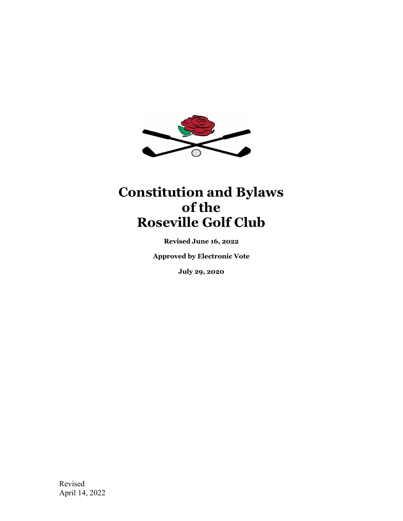

# **Constitution and Bylaws of the Roseville Golf Club**

**Revised June 16, 2022** 

**Approved by Electronic Vote** 

**July 29, 2020**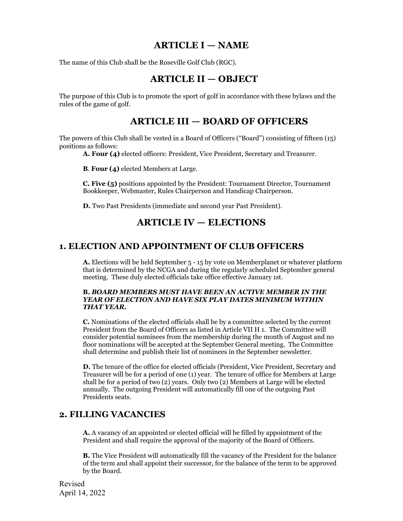### **ARTICLE I — NAME**

The name of this Club shall be the Roseville Golf Club (RGC).

### **ARTICLE II — OBJECT**

The purpose of this Club is to promote the sport of golf in accordance with these bylaws and the rules of the game of golf.

### **ARTICLE III — BOARD OF OFFICERS**

The powers of this Club shall be vested in a Board of Officers ("Board") consisting of fifteen (15) positions as follows:

**A. Four (4)** elected officers: President, Vice President, Secretary and Treasurer.

**B**. **Four (4)** elected Members at Large.

**C. Five (5)** positions appointed by the President: Tournament Director, Tournament Bookkeeper, Webmaster, Rules Chairperson and Handicap Chairperson.

**D.** Two Past Presidents (immediate and second year Past President).

### **ARTICLE IV — ELECTIONS**

#### **1. ELECTION AND APPOINTMENT OF CLUB OFFICERS**

**A.** Elections will be held September 5 - 15 by vote on Memberplanet or whatever platform that is determined by the NCGA and during the regularly scheduled September general meeting. These duly elected officials take office effective January 1st.

#### **B.** *BOARD MEMBERS MUST HAVE BEEN AN ACTIVE MEMBER IN THE YEAR OF ELECTION AND HAVE SIX PLAY DATES MINIMUM WITHIN THAT YEAR.*

**C.** Nominations of the elected officials shall be by a committee selected by the current President from the Board of Officers as listed in Article VII H 1. The Committee will consider potential nominees from the membership during the month of August and no floor nominations will be accepted at the September General meeting. The Committee shall determine and publish their list of nominees in the September newsletter.

**D.** The tenure of the office for elected officials (President, Vice President, Secretary and Treasurer will be for a period of one (1) year. The tenure of office for Members at Large shall be for a period of two (2) years. Only two (2) Members at Large will be elected annually. The outgoing President will automatically fill one of the outgoing Past Presidents seats.

#### **2. FILLING VACANCIES**

**A.** A vacancy of an appointed or elected official will be filled by appointment of the President and shall require the approval of the majority of the Board of Officers.

**B.** The Vice President will automatically fill the vacancy of the President for the balance of the term and shall appoint their successor, for the balance of the term to be approved by the Board.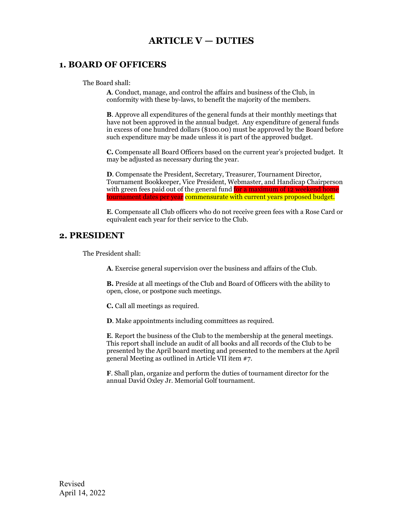### **ARTICLE V — DUTIES**

#### **1. BOARD OF OFFICERS**

The Board shall:

**A**. Conduct, manage, and control the affairs and business of the Club, in conformity with these by-laws, to benefit the majority of the members.

**B**. Approve all expenditures of the general funds at their monthly meetings that have not been approved in the annual budget. Any expenditure of general funds in excess of one hundred dollars (\$100.00) must be approved by the Board before such expenditure may be made unless it is part of the approved budget.

**C.** Compensate all Board Officers based on the current year's projected budget. It may be adjusted as necessary during the year.

**D**. Compensate the President, Secretary, Treasurer, Tournament Director, Tournament Bookkeeper, Vice President, Webmaster, and Handicap Chairperson with green fees paid out of the general fund for a maximum of 12 weekend home tournament dates per year commensurate with current years proposed budget.

**E**. Compensate all Club officers who do not receive green fees with a Rose Card or equivalent each year for their service to the Club.

#### **2. PRESIDENT**

The President shall:

**A**. Exercise general supervision over the business and affairs of the Club.

**B.** Preside at all meetings of the Club and Board of Officers with the ability to open, close, or postpone such meetings.

**C.** Call all meetings as required.

**D**. Make appointments including committees as required.

**E**. Report the business of the Club to the membership at the general meetings. This report shall include an audit of all books and all records of the Club to be presented by the April board meeting and presented to the members at the April general Meeting as outlined in Article VII item #7.

**F**. Shall plan, organize and perform the duties of tournament director for the annual David Oxley Jr. Memorial Golf tournament.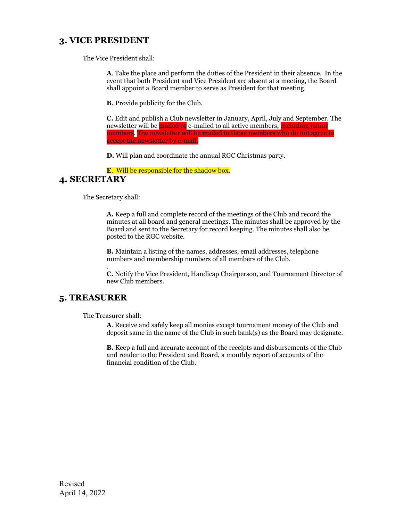### **3. VICE PRESIDENT**

The Vice President shall:

**A**. Take the place and perform the duties of the President in their absence. In the event that both President and Vice President are absent at a meeting, the Board shall appoint a Board member to serve as President for that meeting.

**B.** Provide publicity for the Club.

**C.** Edit and publish a Club newsletter in January, April, July and September. The newsletter will be mailed or e-mailed to all active members, excluding junior members. The newsletter will be mailed to those members who do not agree to accept the newsletter by e-mail.

**D.** Will plan and coordinate the annual RGC Christmas party.

**E**. Will be responsible for the shadow box.

#### **4. SECRETARY**

The Secretary shall:

**A.** Keep a full and complete record of the meetings of the Club and record the minutes at all board and general meetings. The minutes shall be approved by the Board and sent to the Secretary for record keeping. The minutes shall also be posted to the RGC website.

**B.** Maintain a listing of the names, addresses, email addresses, telephone numbers and membership numbers of all members of the Club.

**C.** Notify the Vice President, Handicap Chairperson, and Tournament Director of new Club members.

#### **5. TREASURER**

The Treasurer shall:

.

**A**. Receive and safely keep all monies except tournament money of the Club and deposit same in the name of the Club in such bank(s) as the Board may designate.

**B.** Keep a full and accurate account of the receipts and disbursements of the Club and render to the President and Board, a monthly report of accounts of the financial condition of the Club.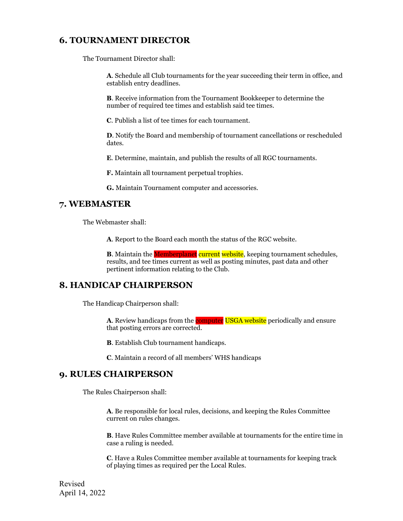### **6. TOURNAMENT DIRECTOR**

The Tournament Director shall:

**A**. Schedule all Club tournaments for the year succeeding their term in office, and establish entry deadlines.

**B**. Receive information from the Tournament Bookkeeper to determine the number of required tee times and establish said tee times.

**C**. Publish a list of tee times for each tournament.

**D**. Notify the Board and membership of tournament cancellations or rescheduled dates.

**E**. Determine, maintain, and publish the results of all RGC tournaments.

**F.** Maintain all tournament perpetual trophies.

**G.** Maintain Tournament computer and accessories.

### **7. WEBMASTER**

The Webmaster shall:

**A**. Report to the Board each month the status of the RGC website.

**B**. Maintain the **Memberplanet** current website, keeping tournament schedules, results, and tee times current as well as posting minutes, past data and other pertinent information relating to the Club.

### **8. HANDICAP CHAIRPERSON**

The Handicap Chairperson shall:

A. Review handicaps from the **computer USGA website** periodically and ensure that posting errors are corrected.

**B**. Establish Club tournament handicaps.

**C**. Maintain a record of all members' WHS handicaps

#### **9. RULES CHAIRPERSON**

The Rules Chairperson shall:

**A**. Be responsible for local rules, decisions, and keeping the Rules Committee current on rules changes.

**B**. Have Rules Committee member available at tournaments for the entire time in case a ruling is needed.

**C**. Have a Rules Committee member available at tournaments for keeping track of playing times as required per the Local Rules.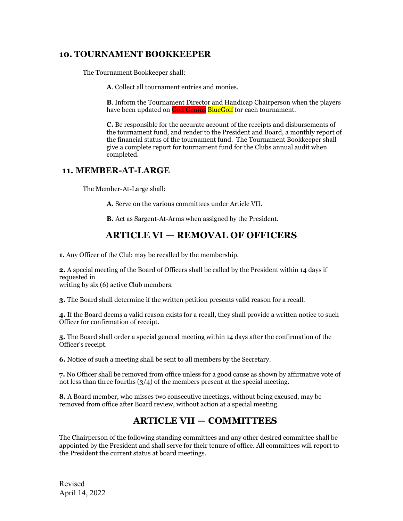### **10. TOURNAMENT BOOKKEEPER**

The Tournament Bookkeeper shall:

**A**. Collect all tournament entries and monies.

**B**. Inform the Tournament Director and Handicap Chairperson when the players have been updated on **Golf Genius** BlueGolf for each tournament.

**C.** Be responsible for the accurate account of the receipts and disbursements of the tournament fund, and render to the President and Board, a monthly report of the financial status of the tournament fund. The Tournament Bookkeeper shall give a complete report for tournament fund for the Clubs annual audit when completed.

#### **11. MEMBER-AT-LARGE**

The Member-At-Large shall:

**A.** Serve on the various committees under Article VII.

**B.** Act as Sargent-At-Arms when assigned by the President.

### **ARTICLE VI — REMOVAL OF OFFICERS**

**1.** Any Officer of the Club may be recalled by the membership.

**2.** A special meeting of the Board of Officers shall be called by the President within 14 days if requested in

writing by six (6) active Club members.

**3.** The Board shall determine if the written petition presents valid reason for a recall.

**4.** If the Board deems a valid reason exists for a recall, they shall provide a written notice to such Officer for confirmation of receipt.

**5.** The Board shall order a special general meeting within 14 days after the confirmation of the Officer's receipt.

**6.** Notice of such a meeting shall be sent to all members by the Secretary.

**7.** No Officer shall be removed from office unless for a good cause as shown by affirmative vote of not less than three fourths  $(3/4)$  of the members present at the special meeting.

**8.** A Board member, who misses two consecutive meetings, without being excused, may be removed from office after Board review, without action at a special meeting.

### **ARTICLE VII — COMMITTEES**

The Chairperson of the following standing committees and any other desired committee shall be appointed by the President and shall serve for their tenure of office. All committees will report to the President the current status at board meetings.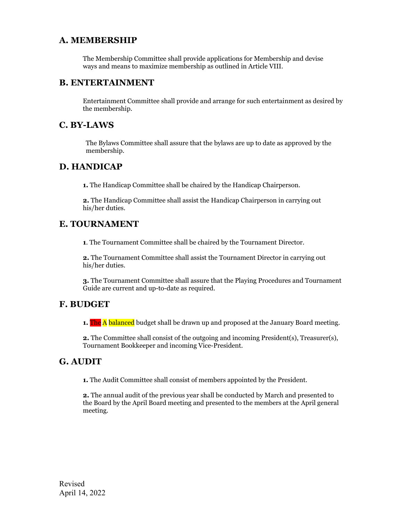### **A. MEMBERSHIP**

The Membership Committee shall provide applications for Membership and devise ways and means to maximize membership as outlined in Article VIII.

#### **B. ENTERTAINMENT**

Entertainment Committee shall provide and arrange for such entertainment as desired by the membership.

#### **C. BY-LAWS**

The Bylaws Committee shall assure that the bylaws are up to date as approved by the membership.

#### **D. HANDICAP**

**1.** The Handicap Committee shall be chaired by the Handicap Chairperson.

**2.** The Handicap Committee shall assist the Handicap Chairperson in carrying out his/her duties.

### **E. TOURNAMENT**

**1**. The Tournament Committee shall be chaired by the Tournament Director.

**2.** The Tournament Committee shall assist the Tournament Director in carrying out his/her duties.

**3.** The Tournament Committee shall assure that the Playing Procedures and Tournament Guide are current and up-to-date as required.

### **F. BUDGET**

**1.** The A balanced budget shall be drawn up and proposed at the January Board meeting.

**2.** The Committee shall consist of the outgoing and incoming President(s), Treasurer(s), Tournament Bookkeeper and incoming Vice-President.

### **G. AUDIT**

**1.** The Audit Committee shall consist of members appointed by the President.

**2.** The annual audit of the previous year shall be conducted by March and presented to the Board by the April Board meeting and presented to the members at the April general meeting.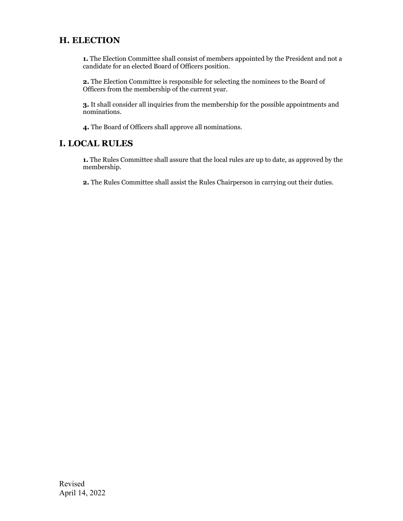### **H. ELECTION**

**1.** The Election Committee shall consist of members appointed by the President and not a candidate for an elected Board of Officers position.

**2.** The Election Committee is responsible for selecting the nominees to the Board of Officers from the membership of the current year.

**3.** It shall consider all inquiries from the membership for the possible appointments and nominations.

**4.** The Board of Officers shall approve all nominations.

#### **I. LOCAL RULES**

**1.** The Rules Committee shall assure that the local rules are up to date, as approved by the membership.

**2.** The Rules Committee shall assist the Rules Chairperson in carrying out their duties.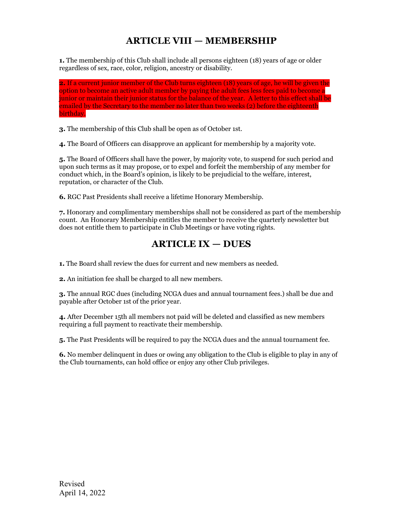## **ARTICLE VIII — MEMBERSHIP**

**1.** The membership of this Club shall include all persons eighteen (18) years of age or older regardless of sex, race, color, religion, ancestry or disability.

**2.** If a current junior member of the Club turns eighteen (18) years of age, he will be given the option to become an active adult member by paying the adult fees less fees paid to become a junior or maintain their junior status for the balance of the year. A letter to this effect shall be emailed by the Secretary to the member no later than two weeks (2) before the eighteenth birthday.

**3.** The membership of this Club shall be open as of October 1st.

**4.** The Board of Officers can disapprove an applicant for membership by a majority vote.

**5.** The Board of Officers shall have the power, by majority vote, to suspend for such period and upon such terms as it may propose, or to expel and forfeit the membership of any member for conduct which, in the Board's opinion, is likely to be prejudicial to the welfare, interest, reputation, or character of the Club.

**6.** RGC Past Presidents shall receive a lifetime Honorary Membership.

**7.** Honorary and complimentary memberships shall not be considered as part of the membership count. An Honorary Membership entitles the member to receive the quarterly newsletter but does not entitle them to participate in Club Meetings or have voting rights.

### **ARTICLE IX — DUES**

**1.** The Board shall review the dues for current and new members as needed.

**2.** An initiation fee shall be charged to all new members.

**3.** The annual RGC dues (including NCGA dues and annual tournament fees.) shall be due and payable after October 1st of the prior year.

**4.** After December 15th all members not paid will be deleted and classified as new members requiring a full payment to reactivate their membership.

**5.** The Past Presidents will be required to pay the NCGA dues and the annual tournament fee.

**6.** No member delinquent in dues or owing any obligation to the Club is eligible to play in any of the Club tournaments, can hold office or enjoy any other Club privileges.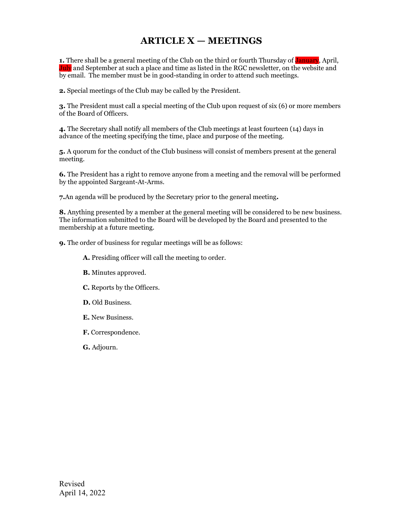### **ARTICLE X — MEETINGS**

**1.** There shall be a general meeting of the Club on the third or fourth Thursday of January, April, July and September at such a place and time as listed in the RGC newsletter, on the website and by email. The member must be in good-standing in order to attend such meetings.

**2.** Special meetings of the Club may be called by the President.

**3.** The President must call a special meeting of the Club upon request of six (6) or more members of the Board of Officers.

**4.** The Secretary shall notify all members of the Club meetings at least fourteen (14) days in advance of the meeting specifying the time, place and purpose of the meeting.

**5.** A quorum for the conduct of the Club business will consist of members present at the general meeting.

**6.** The President has a right to remove anyone from a meeting and the removal will be performed by the appointed Sargeant-At-Arms.

**7.**An agenda will be produced by the Secretary prior to the general meeting**.** 

**8.** Anything presented by a member at the general meeting will be considered to be new business. The information submitted to the Board will be developed by the Board and presented to the membership at a future meeting.

**9.** The order of business for regular meetings will be as follows:

**A.** Presiding officer will call the meeting to order.

- **B.** Minutes approved.
- **C.** Reports by the Officers.
- **D.** Old Business.
- **E.** New Business.
- **F.** Correspondence.
- **G.** Adjourn.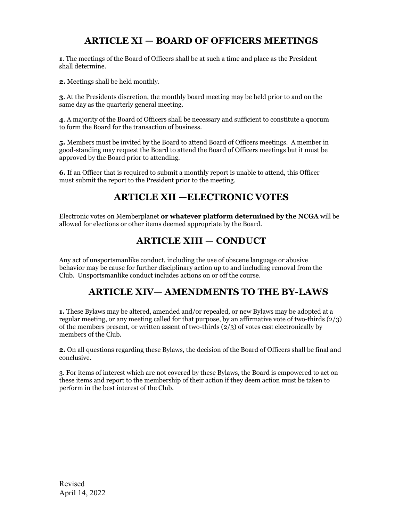### **ARTICLE XI — BOARD OF OFFICERS MEETINGS**

**1**. The meetings of the Board of Officers shall be at such a time and place as the President shall determine.

**2.** Meetings shall be held monthly.

**3**. At the Presidents discretion, the monthly board meeting may be held prior to and on the same day as the quarterly general meeting.

**4**. A majority of the Board of Officers shall be necessary and sufficient to constitute a quorum to form the Board for the transaction of business.

**5.** Members must be invited by the Board to attend Board of Officers meetings. A member in good-standing may request the Board to attend the Board of Officers meetings but it must be approved by the Board prior to attending.

**6.** If an Officer that is required to submit a monthly report is unable to attend, this Officer must submit the report to the President prior to the meeting.

### **ARTICLE XII —ELECTRONIC VOTES**

Electronic votes on Memberplanet **or whatever platform determined by the NCGA** will be allowed for elections or other items deemed appropriate by the Board.

### **ARTICLE XIII — CONDUCT**

Any act of unsportsmanlike conduct, including the use of obscene language or abusive behavior may be cause for further disciplinary action up to and including removal from the Club. Unsportsmanlike conduct includes actions on or off the course.

### **ARTICLE XIV— AMENDMENTS TO THE BY-LAWS**

**1.** These Bylaws may be altered, amended and/or repealed, or new Bylaws may be adopted at a regular meeting, or any meeting called for that purpose, by an affirmative vote of two-thirds  $(2/3)$ of the members present, or written assent of two-thirds  $(2/3)$  of votes cast electronically by members of the Club.

**2.** On all questions regarding these Bylaws, the decision of the Board of Officers shall be final and conclusive.

3. For items of interest which are not covered by these Bylaws, the Board is empowered to act on these items and report to the membership of their action if they deem action must be taken to perform in the best interest of the Club.